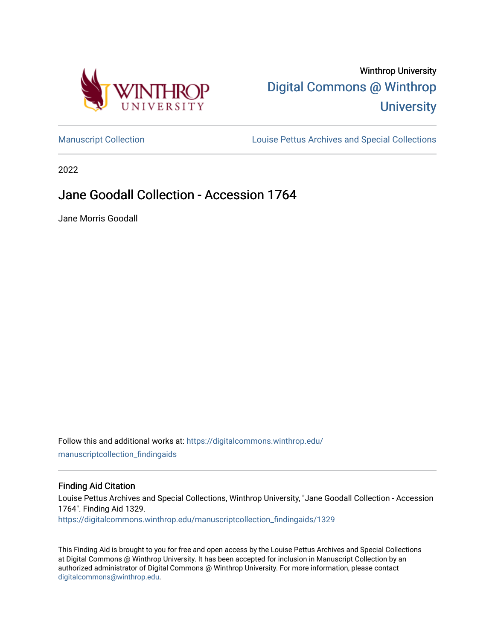

# Winthrop University [Digital Commons @ Winthrop](https://digitalcommons.winthrop.edu/)  **University**

[Manuscript Collection](https://digitalcommons.winthrop.edu/manuscriptcollection_findingaids) **Louise Pettus Archives and Special Collections** 

2022

## Jane Goodall Collection - Accession 1764

Jane Morris Goodall

Follow this and additional works at: [https://digitalcommons.winthrop.edu/](https://digitalcommons.winthrop.edu/manuscriptcollection_findingaids?utm_source=digitalcommons.winthrop.edu%2Fmanuscriptcollection_findingaids%2F1329&utm_medium=PDF&utm_campaign=PDFCoverPages) [manuscriptcollection\\_findingaids](https://digitalcommons.winthrop.edu/manuscriptcollection_findingaids?utm_source=digitalcommons.winthrop.edu%2Fmanuscriptcollection_findingaids%2F1329&utm_medium=PDF&utm_campaign=PDFCoverPages) 

#### Finding Aid Citation

Louise Pettus Archives and Special Collections, Winthrop University, "Jane Goodall Collection - Accession 1764". Finding Aid 1329.

[https://digitalcommons.winthrop.edu/manuscriptcollection\\_findingaids/1329](https://digitalcommons.winthrop.edu/manuscriptcollection_findingaids/1329?utm_source=digitalcommons.winthrop.edu%2Fmanuscriptcollection_findingaids%2F1329&utm_medium=PDF&utm_campaign=PDFCoverPages) 

This Finding Aid is brought to you for free and open access by the Louise Pettus Archives and Special Collections at Digital Commons @ Winthrop University. It has been accepted for inclusion in Manuscript Collection by an authorized administrator of Digital Commons @ Winthrop University. For more information, please contact [digitalcommons@winthrop.edu](mailto:digitalcommons@winthrop.edu).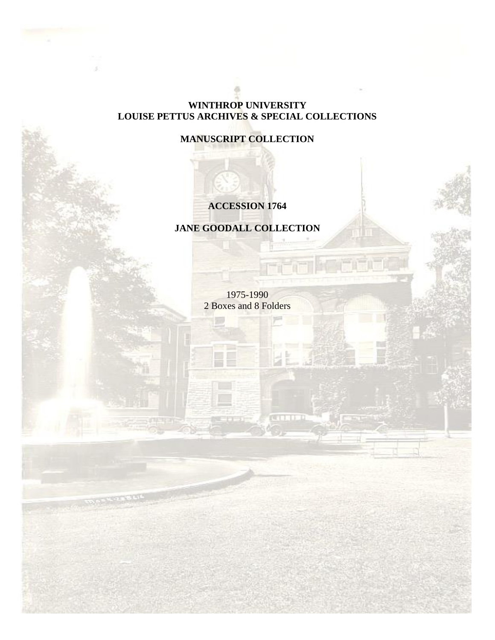### **WINTHROP UNIVERSITY LOUISE PETTUS ARCHIVES & SPECIAL COLLECTIONS**

## **MANUSCRIPT COLLECTION**

## **ACCESSION 1764**

**JANE GOODALL COLLECTION**

1975-1990 2 Boxes and 8 Folders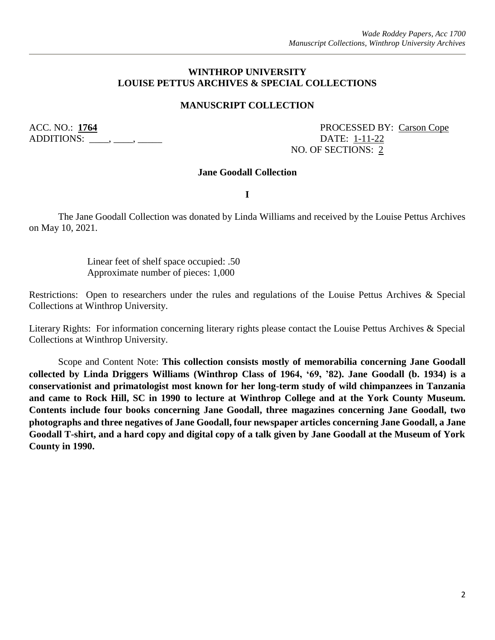#### **WINTHROP UNIVERSITY LOUISE PETTUS ARCHIVES & SPECIAL COLLECTIONS**

#### **MANUSCRIPT COLLECTION**

ADDITIONS: \_\_\_\_, \_\_\_\_, \_\_\_\_\_\_\_ DATE: <u>1-11-22</u>

ACC. NO.: 1764 PROCESSED BY: Carson Cope NO. OF SECTIONS: 2

#### **Jane Goodall Collection**

**I**

The Jane Goodall Collection was donated by Linda Williams and received by the Louise Pettus Archives on May 10, 2021.

> Linear feet of shelf space occupied: .50 Approximate number of pieces: 1,000

Restrictions: Open to researchers under the rules and regulations of the Louise Pettus Archives & Special Collections at Winthrop University.

Literary Rights: For information concerning literary rights please contact the Louise Pettus Archives & Special Collections at Winthrop University.

Scope and Content Note: **This collection consists mostly of memorabilia concerning Jane Goodall collected by Linda Driggers Williams (Winthrop Class of 1964, '69, '82). Jane Goodall (b. 1934) is a conservationist and primatologist most known for her long-term study of wild chimpanzees in Tanzania and came to Rock Hill, SC in 1990 to lecture at Winthrop College and at the York County Museum. Contents include four books concerning Jane Goodall, three magazines concerning Jane Goodall, two photographs and three negatives of Jane Goodall, four newspaper articles concerning Jane Goodall, a Jane Goodall T-shirt, and a hard copy and digital copy of a talk given by Jane Goodall at the Museum of York County in 1990.**